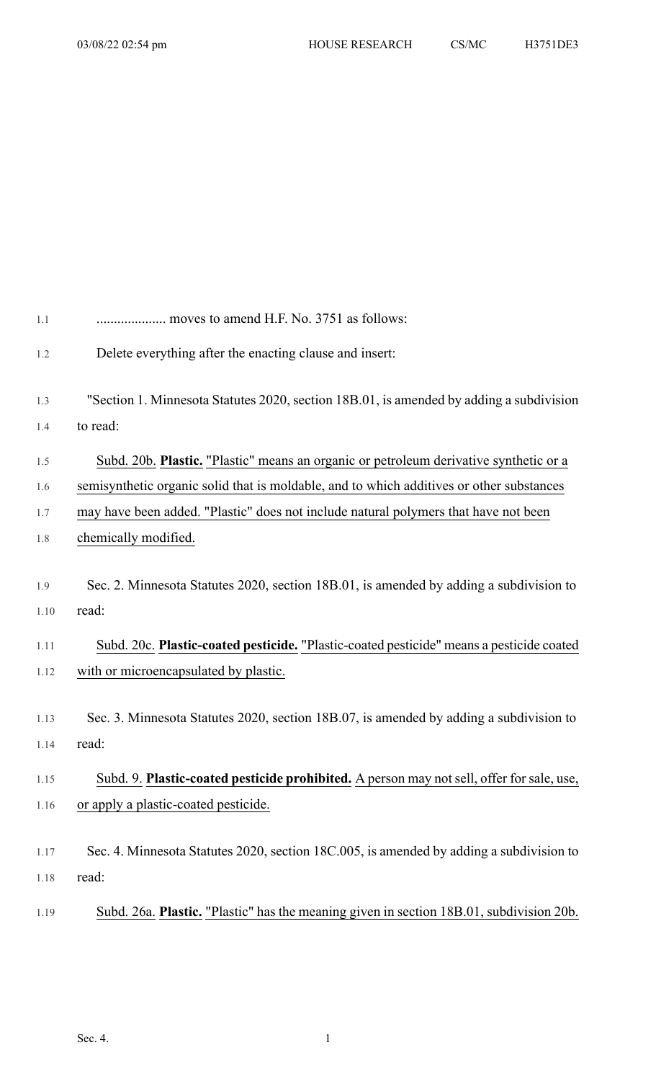| 1.1                 | moves to amend H.F. No. 3751 as follows:                                                                                                                                                    |
|---------------------|---------------------------------------------------------------------------------------------------------------------------------------------------------------------------------------------|
| 1.2                 | Delete everything after the enacting clause and insert:                                                                                                                                     |
| 1.3                 | "Section 1. Minnesota Statutes 2020, section 18B.01, is amended by adding a subdivision                                                                                                     |
| 1.4                 | to read:                                                                                                                                                                                    |
| 1.5                 | Subd. 20b. Plastic. "Plastic" means an organic or petroleum derivative synthetic or a                                                                                                       |
| 1.6                 | semisynthetic organic solid that is moldable, and to which additives or other substances                                                                                                    |
| 1.7                 | may have been added. "Plastic" does not include natural polymers that have not been                                                                                                         |
| 1.8                 | chemically modified.                                                                                                                                                                        |
| 1.9<br>1.10<br>1.11 | Sec. 2. Minnesota Statutes 2020, section 18B.01, is amended by adding a subdivision to<br>read:<br>Subd. 20c. Plastic-coated pesticide. "Plastic-coated pesticide" means a pesticide coated |
| 1.12                | with or microencapsulated by plastic.                                                                                                                                                       |
| 1.13                | Sec. 3. Minnesota Statutes 2020, section 18B.07, is amended by adding a subdivision to                                                                                                      |
| 1.14                | read:                                                                                                                                                                                       |
| 1.15                | Subd. 9. Plastic-coated pesticide prohibited. A person may not sell, offer for sale, use,                                                                                                   |
| 1.16                | or apply a plastic-coated pesticide.                                                                                                                                                        |
| 1.17<br>1.18        | Sec. 4. Minnesota Statutes 2020, section 18C.005, is amended by adding a subdivision to<br>read:                                                                                            |
| 1.19                | Subd. 26a. Plastic. "Plastic" has the meaning given in section 18B.01, subdivision 20b.                                                                                                     |